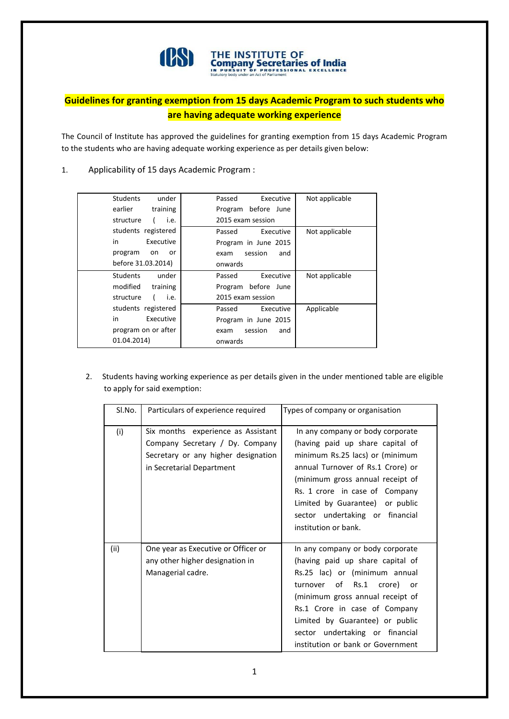

## **Guidelines for granting exemption from 15 days Academic Program to such students who are having adequate working experience**

The Council of Institute has approved the guidelines for granting exemption from 15 days Academic Program to the students who are having adequate working experience as per details given below:

## 1. Applicability of 15 days Academic Program :

| under<br><b>Students</b> | Passed<br>Executive    | Not applicable |
|--------------------------|------------------------|----------------|
| earlier<br>training      | Program before June    |                |
| structure<br>i.e.        | 2015 exam session      |                |
| students registered      | Passed<br>Executive    | Not applicable |
| Executive<br>in          | Program in June 2015   |                |
| program<br>or<br>on      | session<br>and<br>exam |                |
| before 31.03.2014)       | onwards                |                |
| <b>Students</b><br>under | Executive<br>Passed    | Not applicable |
| modified<br>training     | Program before June    |                |
| structure<br>i.e.        | 2015 exam session      |                |
| students registered      | Executive<br>Passed    | Applicable     |
| in<br>Executive          | Program in June 2015   |                |
| program on or after      | session<br>and<br>exam |                |
| 01.04.2014)              | onwards                |                |

2. Students having working experience as per details given in the under mentioned table are eligible to apply for said exemption:

| SI.No. | Particulars of experience required                                                                                                        | Types of company or organisation                                                                                                                                                                                                                                                                                    |
|--------|-------------------------------------------------------------------------------------------------------------------------------------------|---------------------------------------------------------------------------------------------------------------------------------------------------------------------------------------------------------------------------------------------------------------------------------------------------------------------|
| (i)    | Six months experience as Assistant<br>Company Secretary / Dy. Company<br>Secretary or any higher designation<br>in Secretarial Department | In any company or body corporate<br>(having paid up share capital of<br>minimum Rs.25 lacs) or (minimum<br>annual Turnover of Rs.1 Crore) or<br>(minimum gross annual receipt of<br>Rs. 1 crore in case of Company<br>Limited by Guarantee) or public<br>sector undertaking or financial<br>institution or bank.    |
| (ii)   | One year as Executive or Officer or<br>any other higher designation in<br>Managerial cadre.                                               | In any company or body corporate<br>(having paid up share capital of<br>Rs.25 lac) or (minimum annual<br>turnover of Rs.1 crore) or<br>(minimum gross annual receipt of<br>Rs.1 Crore in case of Company<br>Limited by Guarantee) or public<br>sector undertaking or financial<br>institution or bank or Government |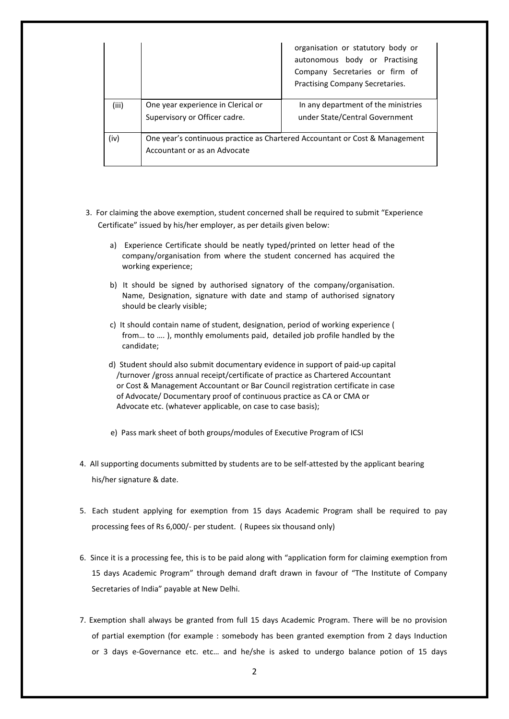|       |                                                                     | organisation or statutory body or<br>autonomous body or Practising<br>Company Secretaries or firm of<br>Practising Company Secretaries. |
|-------|---------------------------------------------------------------------|-----------------------------------------------------------------------------------------------------------------------------------------|
| (iii) | One year experience in Clerical or<br>Supervisory or Officer cadre. | In any department of the ministries<br>under State/Central Government                                                                   |
| (iv)  | Accountant or as an Advocate                                        | One year's continuous practice as Chartered Accountant or Cost & Management                                                             |

- 3. For claiming the above exemption, student concerned shall be required to submit "Experience Certificate" issued by his/her employer, as per details given below:
	- a) Experience Certificate should be neatly typed/printed on letter head of the company/organisation from where the student concerned has acquired the working experience;
	- b) It should be signed by authorised signatory of the company/organisation. Name, Designation, signature with date and stamp of authorised signatory should be clearly visible;
	- c) It should contain name of student, designation, period of working experience ( from… to …. ), monthly emoluments paid, detailed job profile handled by the candidate;
	- d) Student should also submit documentary evidence in support of paid-up capital /turnover /gross annual receipt/certificate of practice as Chartered Accountant or Cost & Management Accountant or Bar Council registration certificate in case of Advocate/ Documentary proof of continuous practice as CA or CMA or Advocate etc. (whatever applicable, on case to case basis);
	- e) Pass mark sheet of both groups/modules of Executive Program of ICSI
- 4. All supporting documents submitted by students are to be self-attested by the applicant bearing his/her signature & date.
- 5. Each student applying for exemption from 15 days Academic Program shall be required to pay processing fees of Rs 6,000/- per student. ( Rupees six thousand only)
- 6. Since it is a processing fee, this is to be paid along with "application form for claiming exemption from 15 days Academic Program" through demand draft drawn in favour of "The Institute of Company Secretaries of India" payable at New Delhi.
- 7. Exemption shall always be granted from full 15 days Academic Program. There will be no provision of partial exemption (for example : somebody has been granted exemption from 2 days Induction or 3 days e-Governance etc. etc… and he/she is asked to undergo balance potion of 15 days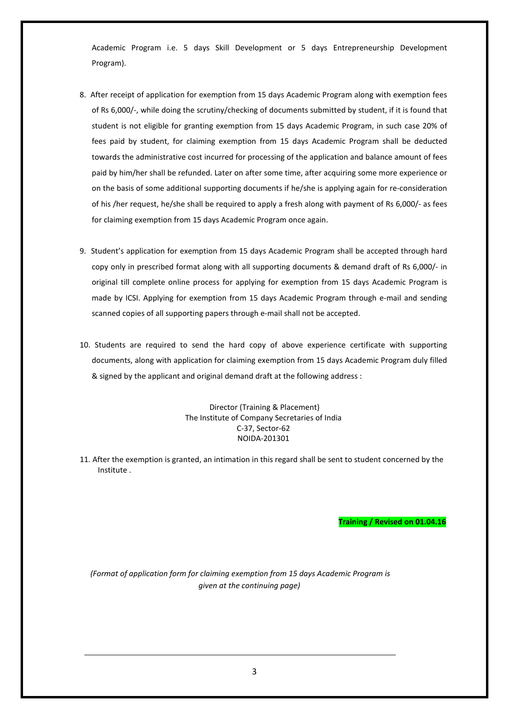Academic Program i.e. 5 days Skill Development or 5 days Entrepreneurship Development Program).

- 8. After receipt of application for exemption from 15 days Academic Program along with exemption fees of Rs 6,000/-, while doing the scrutiny/checking of documents submitted by student, if it is found that student is not eligible for granting exemption from 15 days Academic Program, in such case 20% of fees paid by student, for claiming exemption from 15 days Academic Program shall be deducted towards the administrative cost incurred for processing of the application and balance amount of fees paid by him/her shall be refunded. Later on after some time, after acquiring some more experience or on the basis of some additional supporting documents if he/she is applying again for re-consideration of his /her request, he/she shall be required to apply a fresh along with payment of Rs 6,000/- as fees for claiming exemption from 15 days Academic Program once again.
- 9. Student's application for exemption from 15 days Academic Program shall be accepted through hard copy only in prescribed format along with all supporting documents & demand draft of Rs 6,000/- in original till complete online process for applying for exemption from 15 days Academic Program is made by ICSI. Applying for exemption from 15 days Academic Program through e-mail and sending scanned copies of all supporting papers through e-mail shall not be accepted.
- 10. Students are required to send the hard copy of above experience certificate with supporting documents, along with application for claiming exemption from 15 days Academic Program duly filled & signed by the applicant and original demand draft at the following address :

Director (Training & Placement) The Institute of Company Secretaries of India C-37, Sector-62 NOIDA-201301

11. After the exemption is granted, an intimation in this regard shall be sent to student concerned by the Institute .

**Training / Revised on 01.04.16**

*(Format of application form for claiming exemption from 15 days Academic Program is given at the continuing page)*